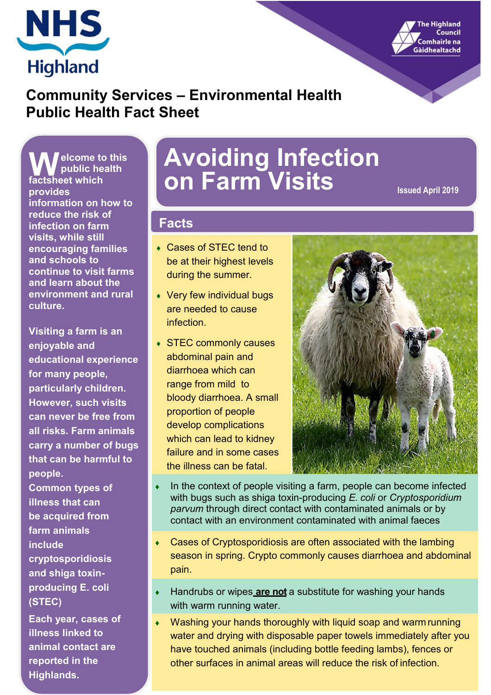



# **Community Services – Environmental Health Public Health Fact Sheet**

**elcome to this public health W** elcome to<br> **public heat**<br> **factsheet which provides information on how to reduce the risk of infection on farm visits, while still encouraging families and schools to continue to visit farms and learn about the environment and rural culture.**

**Visiting a farm is an enjoyable and educational experience for many people, particularly children. However, such visits can never be free from all risks. Farm animals carry a number of bugs that can be harmful to people.**

**Common types of illness that can be acquired from farm animals include cryptosporidiosis and shiga toxinproducing E. coli (STEC)**

**Each year, cases of illness linked to animal contact are reported in the Highlands.**

# **Avoiding Infection on Farm Visits Issued April 2019**

### **Facts**

- Cases of STEC tend to be at their highest levels during the summer.
- Very few individual bugs are needed to cause infection.
- STEC commonly causes abdominal pain and diarrhoea which can range from mild to bloody diarrhoea. A small proportion of people develop complications which can lead to kidney failure and in some cases the illness can be fatal.



- In the context of people visiting a farm, people can become infected with bugs such as shiga toxin-producing *E. coli* or *Cryptosporidium parvum* through direct contact with contaminated animals or by contact with an environment contaminated with animal faeces
- Cases of Cryptosporidiosis are often associated with the lambing season in spring. Crypto commonly causes diarrhoea and abdominal pain.
- Handrubs or wipes are not a substitute for washing your hands with warm running water.
- Washing your hands thoroughly with liquid soap and warm running water and drying with disposable paper towels immediately after you have touched animals (including bottle feeding lambs), fences or other surfaces in animal areas will reduce the risk of infection.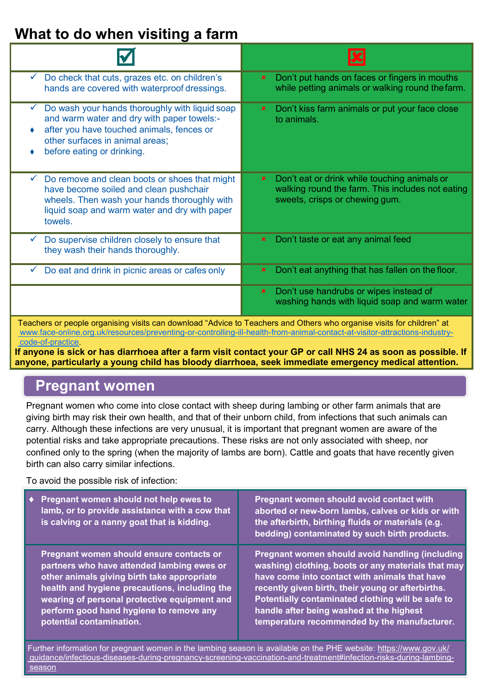# **What to do when visiting a farm**

| Do check that cuts, grazes etc. on children's<br>$\checkmark$<br>hands are covered with waterproof dressings.                                                                                                              | Don't put hands on faces or fingers in mouths<br>$\mathbf x$<br>while petting animals or walking round the farm.                                  |  |
|----------------------------------------------------------------------------------------------------------------------------------------------------------------------------------------------------------------------------|---------------------------------------------------------------------------------------------------------------------------------------------------|--|
| Do wash your hands thoroughly with liquid soap<br>$\checkmark$<br>and warm water and dry with paper towels:-<br>after you have touched animals, fences or<br>other surfaces in animal areas;<br>before eating or drinking. | Don't kiss farm animals or put your face close<br>$\mathbf x$<br>to animals.                                                                      |  |
| Do remove and clean boots or shoes that might<br>$\checkmark$<br>have become soiled and clean pushchair<br>wheels. Then wash your hands thoroughly with<br>liquid soap and warm water and dry with paper<br>towels.        | Don't eat or drink while touching animals or<br>$\mathbf x$<br>walking round the farm. This includes not eating<br>sweets, crisps or chewing gum. |  |
| Do supervise children closely to ensure that<br>they wash their hands thoroughly.                                                                                                                                          | Don't taste or eat any animal feed<br>$\mathbf x$                                                                                                 |  |
| Do eat and drink in picnic areas or cafes only<br>$\checkmark$                                                                                                                                                             | Don't eat anything that has fallen on the floor.<br>$\mathbf x$                                                                                   |  |
|                                                                                                                                                                                                                            | Don't use handrubs or wipes instead of<br>$\mathbf{x}$<br>washing hands with liquid soap and warm water                                           |  |
| Teachers or people organising visits can download "Advice to Teachers and Others who organise visits for children" at                                                                                                      |                                                                                                                                                   |  |

[www.face-online.org.uk/resources/preventing-or-controlling-ill-health-from-animal-contact-at-visitor-attractions-industry](http://www.face-online.org.uk/resources/preventing-or-controlling-ill-health-from-animal-contact-at-visitor-attractions-industry-code-of-practice)[code-of-practice.](http://www.face-online.org.uk/resources/preventing-or-controlling-ill-health-from-animal-contact-at-visitor-attractions-industry-code-of-practice)

**If anyone is sick or has diarrhoea after a farm visit contact your GP or call NHS 24 as soon as possible. If anyone, particularly a young child has bloody diarrhoea, seek immediate emergency medical attention.**

# **Pregnant women**

Pregnant women who come into close contact with sheep during lambing or other farm animals that are giving birth may risk their own health, and that of their unborn child, from infections that such animals can carry. Although these infections are very unusual, it is important that pregnant women are aware of the potential risks and take appropriate precautions. These risks are not only associated with sheep, nor confined only to the spring (when the majority of lambs are born). Cattle and goats that have recently given birth can also carry similar infections.

To avoid the possible risk of infection:

| Pregnant women should not help ewes to<br>lamb, or to provide assistance with a cow that<br>is calving or a nanny goat that is kidding.                                                                                                                                                                       | Pregnant women should avoid contact with<br>aborted or new-born lambs, calves or kids or with<br>the afterbirth, birthing fluids or materials (e.g.<br>bedding) contaminated by such birth products.                                                                                                                                                                |
|---------------------------------------------------------------------------------------------------------------------------------------------------------------------------------------------------------------------------------------------------------------------------------------------------------------|---------------------------------------------------------------------------------------------------------------------------------------------------------------------------------------------------------------------------------------------------------------------------------------------------------------------------------------------------------------------|
| Pregnant women should ensure contacts or<br>partners who have attended lambing ewes or<br>other animals giving birth take appropriate<br>health and hygiene precautions, including the<br>wearing of personal protective equipment and<br>perform good hand hygiene to remove any<br>potential contamination. | <b>Pregnant women should avoid handling (including</b><br>washing) clothing, boots or any materials that may<br>have come into contact with animals that have<br>recently given birth, their young or afterbirths.<br>Potentially contaminated clothing will be safe to<br>handle after being washed at the highest<br>temperature recommended by the manufacturer. |

Further information for pregnant women in the lambing season is available on the PHE website: [https://www.gov.uk/](https://www.gov.uk/guidance/infectious-diseases-during-pregnancy-screening-vaccination-and-treatment#infection-risks-during-lambing-season) [guidance/infectious-diseases-during-pregnancy-screening-vaccination-and-treatment#infection-risks-during-lambing](https://www.gov.uk/guidance/infectious-diseases-during-pregnancy-screening-vaccination-and-treatment#infection-risks-during-lambing-season)[season](https://www.gov.uk/guidance/infectious-diseases-during-pregnancy-screening-vaccination-and-treatment#infection-risks-during-lambing-season)